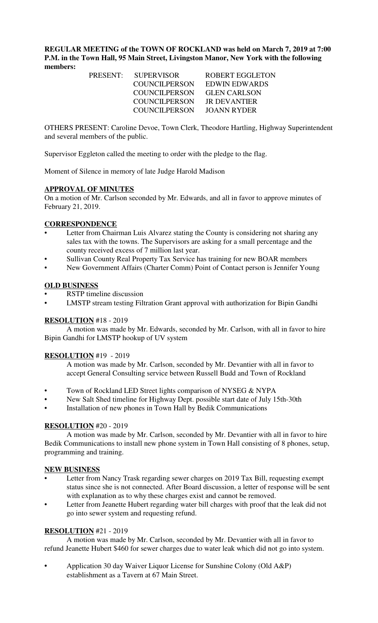**REGULAR MEETING of the TOWN OF ROCKLAND was held on March 7, 2019 at 7:00 P.M. in the Town Hall, 95 Main Street, Livingston Manor, New York with the following members:** 

|  | PRESENT: SUPERVISOR  | ROBERT EGGLETON     |
|--|----------------------|---------------------|
|  | COUNCILPERSON        | EDWIN EDWARDS       |
|  | <b>COUNCILPERSON</b> | <b>GLEN CARLSON</b> |
|  | <b>COUNCILPERSON</b> | IR DEVANTIER        |
|  | COUNCILPERSON        | JOANN RYDER         |
|  |                      |                     |

OTHERS PRESENT: Caroline Devoe, Town Clerk, Theodore Hartling, Highway Superintendent and several members of the public.

Supervisor Eggleton called the meeting to order with the pledge to the flag.

Moment of Silence in memory of late Judge Harold Madison

## **APPROVAL OF MINUTES**

On a motion of Mr. Carlson seconded by Mr. Edwards, and all in favor to approve minutes of February 21, 2019.

### **CORRESPONDENCE**

- Letter from Chairman Luis Alvarez stating the County is considering not sharing any sales tax with the towns. The Supervisors are asking for a small percentage and the county received excess of 7 million last year.
- Sullivan County Real Property Tax Service has training for new BOAR members
- New Government Affairs (Charter Comm) Point of Contact person is Jennifer Young

### **OLD BUSINESS**

- RSTP timeline discussion
- LMSTP stream testing Filtration Grant approval with authorization for Bipin Gandhi

## **RESOLUTION** #18 - 2019

A motion was made by Mr. Edwards, seconded by Mr. Carlson, with all in favor to hire Bipin Gandhi for LMSTP hookup of UV system

## **RESOLUTION** #19 - 2019

A motion was made by Mr. Carlson, seconded by Mr. Devantier with all in favor to accept General Consulting service between Russell Budd and Town of Rockland

- Town of Rockland LED Street lights comparison of NYSEG & NYPA
- New Salt Shed timeline for Highway Dept. possible start date of July 15th-30th
- Installation of new phones in Town Hall by Bedik Communications

## **RESOLUTION** #20 - 2019

A motion was made by Mr. Carlson, seconded by Mr. Devantier with all in favor to hire Bedik Communications to install new phone system in Town Hall consisting of 8 phones, setup, programming and training.

#### **NEW BUSINESS**

- Letter from Nancy Trask regarding sewer charges on 2019 Tax Bill, requesting exempt status since she is not connected. After Board discussion, a letter of response will be sent with explanation as to why these charges exist and cannot be removed.
- Letter from Jeanette Hubert regarding water bill charges with proof that the leak did not go into sewer system and requesting refund.

## **RESOLUTION** #21 - 2019

A motion was made by Mr. Carlson, seconded by Mr. Devantier with all in favor to refund Jeanette Hubert \$460 for sewer charges due to water leak which did not go into system.

**•** Application 30 day Waiver Liquor License for Sunshine Colony (Old A&P) establishment as a Tavern at 67 Main Street.